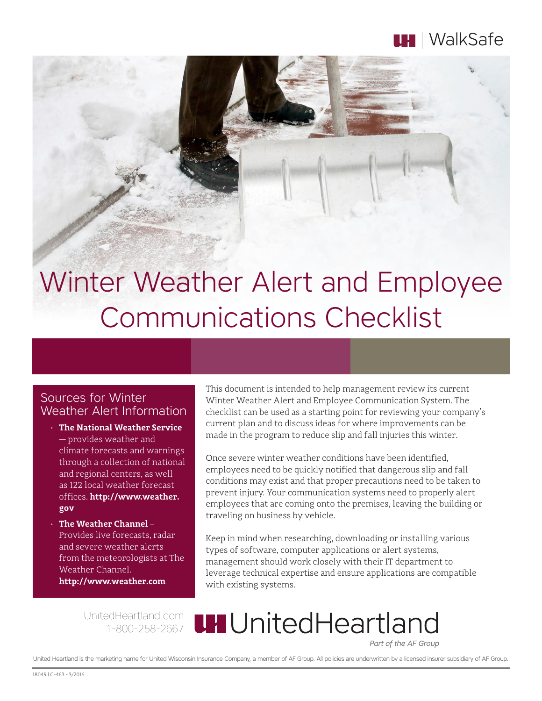

## Winter Weather Alert and Employee Communications Checklist

## Sources for Winter Weather Alert Information

- • **The National Weather Service**  — provides weather and climate forecasts and warnings through a collection of national and regional centers, as well as 122 local weather forecast offices. **http://www.weather. gov**
- • **The Weather Channel**  Provides live forecasts, radar and severe weather alerts from the meteorologists at The Weather Channel.

**http://www.weather.com**

This document is intended to help management review its current Winter Weather Alert and Employee Communication System. The checklist can be used as a starting point for reviewing your company's current plan and to discuss ideas for where improvements can be made in the program to reduce slip and fall injuries this winter.

Once severe winter weather conditions have been identified, employees need to be quickly notified that dangerous slip and fall conditions may exist and that proper precautions need to be taken to prevent injury. Your communication systems need to properly alert employees that are coming onto the premises, leaving the building or traveling on business by vehicle.

Keep in mind when researching, downloading or installing various types of software, computer applications or alert systems, management should work closely with their IT department to leverage technical expertise and ensure applications are compatible with existing systems.

UnitedHeartland.com 1-800-258-2667

Part of the AF Group

United Heartland is the marketing name for United Wisconsin Insurance Company, a member of AF Group. All policies are underwritten by a licensed insurer subsidiary of AF Group.